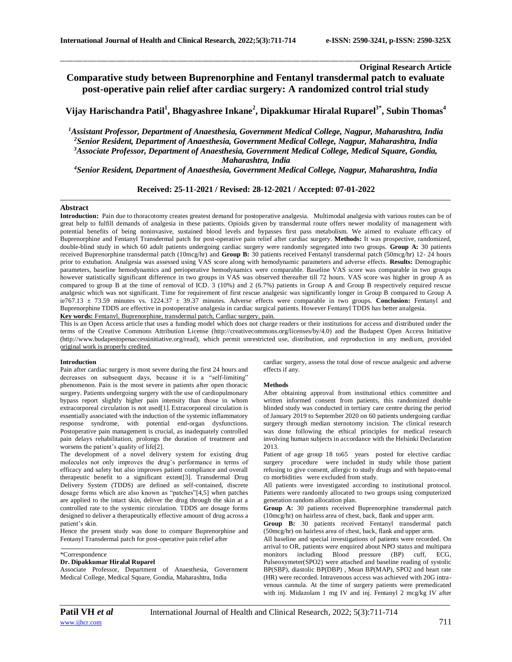# **Original Research Article Comparative study between Buprenorphine and Fentanyl transdermal patch to evaluate post-operative pain relief after cardiac surgery: A randomized control trial study**

\_\_\_\_\_\_\_\_\_\_\_\_\_\_\_\_\_\_\_\_\_\_\_\_\_\_\_\_\_\_\_\_\_\_\_\_\_\_\_\_\_\_\_\_\_\_\_\_\_\_\_\_\_\_\_\_\_\_\_\_\_\_\_\_\_\_\_\_\_\_\_\_\_\_\_\_\_\_\_\_\_\_\_\_\_\_\_\_\_\_\_\_\_\_\_\_\_\_\_\_\_\_\_\_\_\_\_\_\_\_\_\_\_\_\_\_\_\_\_\_\_\_\_\_\_\_\_\_\_\_\_\_\_\_\_\_\_\_\_\_

**Vijay Harischandra Patil<sup>1</sup> , Bhagyashree Inkane<sup>2</sup> , Dipakkumar Hiralal Ruparel3\*, Subin Thomas<sup>4</sup>**

*Assistant Professor, Department of Anaesthesia, Government Medical College, Nagpur, Maharashtra, India Senior Resident, Department of Anaesthesia, Government Medical College, Nagpur, Maharashtra, India Associate Professor, Department of Anaesthesia, Government Medical College, Medical Square, Gondia, Maharashtra, India*

*<sup>4</sup>Senior Resident, Department of Anaesthesia, Government Medical College, Nagpur, Maharashtra, India*

**Received: 25-11-2021 / Revised: 28-12-2021 / Accepted: 07-01-2022**

## **Abstract**

**Introduction:** Pain due to thoracotomy creates greatest demand for postoperative analgesia. Multimodal analgesia with various routes can be of great help to fulfill demands of analgesia in these patients. Opioids given by transdermal route offers newer modality of management with potential benefits of being noninvasive, sustained blood levels and bypasses first pass metabolism. We aimed to evaluate efficacy of Buprenorphine and Fentanyl Transdermal patch for post-operative pain relief after cardiac surgery. **Methods:** It was prospective, randomized, double-blind study in which 60 adult patients undergoing cardiac surgery were randomly segregated into two groups. **Group A:** 30 patients received Buprenorphine transdermal patch (10mcg/hr) and **Group B:** 30 patients received Fentanyl transdermal patch (50mcg/hr) 12- 24 hours prior to extubation. Analgesia was assessed using VAS score along with hemodynamic parameters and adverse effects. **Results:** Demographic parameters, baseline hemodynamics and perioperative hemodynamics were comparable. Baseline VAS score was comparable in two groups however statistically significant difference in two groups in VAS was observed thereafter till 72 hours. VAS score was higher in group A as compared to group B at the time of removal of ICD. 3 (10%) and 2 (6.7%) patients in Group A and Group B respectively required rescue analgesic which was not significant. Time for requirement of first rescue analgesic was significantly longer in Group B compared to Group A ie767.13 ± 73.59 minutes vs. 1224.37 ± 39.37 minutes. Adverse effects were comparable in two groups. **Conclusion:** Fentanyl and Buprenorphine TDDS are effective in postoperative analgesia in cardiac surgical patients. However Fentanyl TDDS has better analgesia. **Key words:** Fentanyl, Buprenorphine, transdermal patch, Cardiac surgery, pain.

This is an Open Access article that uses a funding model which does not charge readers or their institutions for access and distributed under the terms of the Creative Commons Attribution License (http://creativecommons.org/licenses/by/4.0) and the Budapest Open Access Initiative (http://www.budapestopenaccessinitiative.org/read), which permit unrestricted use, distribution, and reproduction in any medium, provided original work is properly credited.

### **Introduction**

Pain after cardiac surgery is most severe during the first 24 hours and decreases on subsequent days, because it is a "self-limiting" phenomenon. Pain is the most severe in patients after open thoracic surgery. Patients undergoing surgery with the use of cardiopulmonary bypass report slightly higher pain intensity than those in whom extracorporeal circulation is not used[1]. Extracorporeal circulation is essentially associated with the induction of the systemic inflammatory response syndrome, with potential end-organ dysfunctions. Postoperative pain management is crucial, as inadequately controlled pain delays rehabilitation, prolongs the duration of treatment and worsens the patient's quality of life[2].

The development of a novel delivery system for existing drug molecules not only improves the drug's performance in terms of efficacy and safety but also improves patient compliance and overall therapeutic benefit to a significant extent[3]. Transdermal Drug Delivery System (TDDS) are defined as self-contained, discrete dosage forms which are also known as "patches"[4,5] when patches are applied to the intact skin, deliver the drug through the skin at a controlled rate to the systemic circulation. TDDS are dosage forms designed to deliver a therapeutically effective amount of drug across a patient's skin.

Hence the present study was done to compare Buprenorphine and Fentanyl Transdermal patch for post-operative pain relief after

#### \*Correspondence

# **Dr. Dipakkumar Hiralal Ruparel**

Associate Professor, Department of Anaesthesia, Government Medical College, Medical Square, Gondia, Maharashtra, India

cardiac surgery, assess the total dose of rescue analgesic and adverse effects if any.

## **Methods**

After obtaining approval from institutional ethics committee and written informed consent from patients, this randomized double blinded study was conducted in tertiary care centre during the period of January 2019 to September 2020 on 60 patients undergoing cardiac surgery through median sternotomy incision. The clinical research was done following the ethical principles for medical research involving human subjects in accordance with the Helsinki Declaration 2013.

Patient of age group 18 to65 years posted for elective cardiac surgery procedure were included in study while those patient refusing to give consent, allergic to study drugs and with hepato-renal co morbidities were excluded from study.

All patients were investigated according to institutional protocol. Patients were randomly allocated to two groups using computerized generation random allocation plan.

**Group A:** 30 patients received Buprenorphine transdermal patch (10mcg/hr) on hairless area of chest, back, flank and upper arm.

**Group B:** 30 patients received Fentanyl transdermal patch (50mcg/hr) on hairless area of chest, back, flank and upper arm.

All baseline and special investigations of patients were recorded. On arrival to OR, patients were enquired about NPO status and multipara monitors including Blood pressure (BP) cuff, ECG, Pulseoxymeter(SPO2) were attached and baseline reading of systolic BP(SBP), diastolic BP(DBP) , Mean BP(MAP), SPO2 and heart rate (HR) were recorded. Intravenous access was achieved with 20G intravenous cannula. At the time of surgery patients were premedicated with inj. Midazolam 1 mg IV and inj. Fentanyl 2 mcg/kg IV after

*\_\_\_\_\_\_\_\_\_\_\_\_\_\_\_\_\_\_\_\_\_\_\_\_\_\_\_\_\_\_\_\_\_\_\_\_\_\_\_\_\_\_\_\_\_\_\_\_\_\_\_\_\_\_\_\_\_\_\_\_\_\_\_\_\_\_\_\_\_\_\_\_\_\_\_\_\_\_\_\_\_\_\_\_\_\_\_\_\_\_\_\_\_\_\_\_\_\_\_\_\_\_\_\_\_\_\_\_\_\_\_\_\_\_\_\_\_\_\_\_\_\_\_\_\_\_\_\_\_\_\_\_\_\_\_\_\_\_\_\_*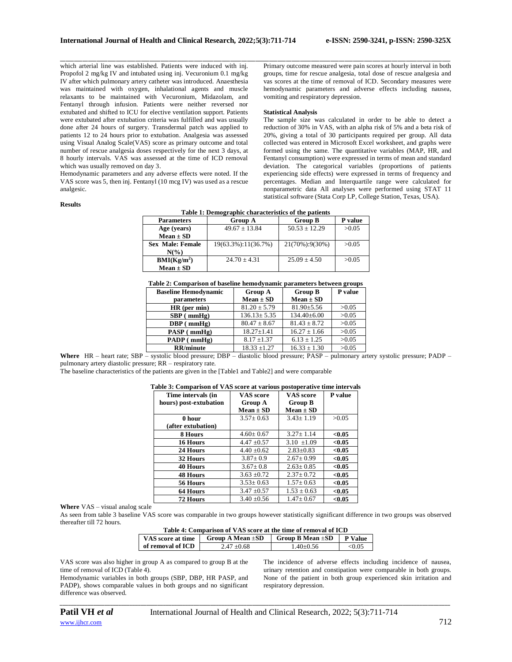which arterial line was established. Patients were induced with inj. Propofol 2 mg/kg IV and intubated using inj. Vecuronium 0.1 mg/kg IV after which pulmonary artery catheter was introduced. Anaesthesia was maintained with oxygen, inhalational agents and muscle relaxants to be maintained with Vecuronium, Midazolam, and Fentanyl through infusion. Patients were neither reversed nor extubated and shifted to ICU for elective ventilation support. Patients were extubated after extubation criteria was fulfilled and was usually done after 24 hours of surgery. Transdermal patch was applied to patients 12 to 24 hours prior to extubation. Analgesia was assessed using Visual Analog Scale(VAS) score as primary outcome and total number of rescue analgesia doses respectively for the next 3 days, at 8 hourly intervals. VAS was assessed at the time of ICD removal which was usually removed on day 3.

Hemodynamic parameters and any adverse effects were noted. If the VAS score was 5, then inj. Fentanyl (10 mcg IV) was used as a rescue analgesic.

#### **Results**

\_\_\_\_\_\_\_\_\_\_\_\_\_\_\_\_\_\_\_\_\_\_\_\_\_\_\_\_\_\_\_\_\_\_\_\_\_\_\_\_\_\_\_\_\_\_\_\_\_\_\_\_\_\_\_\_\_\_\_\_\_\_\_\_\_\_\_\_\_\_\_\_\_\_\_\_\_\_\_\_\_\_\_\_\_\_\_\_\_\_\_\_\_\_\_\_\_\_\_\_\_\_\_\_\_\_\_\_\_\_\_\_\_\_\_\_\_\_\_\_\_\_\_\_\_\_\_\_\_\_\_\_\_\_\_\_\_\_\_\_ Primary outcome measured were pain scores at hourly interval in both groups, time for rescue analgesia, total dose of rescue analgesia and vas scores at the time of removal of ICD. Secondary measures were hemodynamic parameters and adverse effects including nausea, vomiting and respiratory depression.

#### **Statistical Analysis**

The sample size was calculated in order to be able to detect a reduction of 30% in VAS, with an alpha risk of 5% and a beta risk of 20%, giving a total of 30 participants required per group. All data collected was entered in Microsoft Excel worksheet, and graphs were formed using the same. The quantitative variables (MAP, HR, and Fentanyl consumption) were expressed in terms of mean and standard deviation. The categorical variables (proportions of patients experiencing side effects) were expressed in terms of frequency and percentages. Median and Interquartile range were calculated for nonparametric data All analyses were performed using STAT 11 statistical software (Stata Corp LP, College Station, Texas, USA).

The incidence of adverse effects including incidence of nausea, urinary retention and constipation were comparable in both groups. None of the patient in both group experienced skin irritation and

| <b>Parameters</b>       | <b>Group A</b>      | <b>Group B</b>    | P value |
|-------------------------|---------------------|-------------------|---------|
| Age (years)             | $49.67 \pm 13.84$   | $50.53 \pm 12.29$ | >0.05   |
| $Mean \pm SD$           |                     |                   |         |
| <b>Sex Male: Female</b> | 19(63.3%):11(36.7%) | 21(70%):9(30%)    | >0.05   |
| $N(\%)$                 |                     |                   |         |
| BMI(Kg/m <sup>2</sup> ) | $24.70 + 4.31$      | $25.09 + 4.50$    | >0.05   |
| $Mean \pm SD$           |                     |                   |         |
|                         |                     |                   |         |

**Table 1: Demographic characteristics of the patients**

| Table 2: Comparison of baseline hemodynamic parameters between groups |  |  |
|-----------------------------------------------------------------------|--|--|
|                                                                       |  |  |

| <b>Baseline Hemodynamic</b> | <b>Group A</b>    | <b>Group B</b>    | P value |
|-----------------------------|-------------------|-------------------|---------|
| parameters                  | $Mean \pm SD$     | $Mean \pm SD$     |         |
| $HR$ (per min)              | $81.20 \pm 5.79$  | $81.90 \pm 5.56$  | >0.05   |
| $SBP$ ( $mmHg$ )            | $136.13 \pm 5.35$ | $134.40 \pm 6.00$ | >0.05   |
| $DBP$ (mmHg)                | $80.47 \pm 8.67$  | $81.43 \pm 8.72$  | >0.05   |
| $PASP$ (mmHg)               | $18.27 \pm 1.41$  | $16.27 \pm 1.66$  | >0.05   |
| PADP (mmHg)                 | $8.17 \pm 1.37$   | $6.13 \pm 1.25$   | >0.05   |
| <b>RR/minute</b>            | $18.33 \pm 1.27$  | $16.33 \pm 1.30$  | >0.05   |

Where HR – heart rate; SBP – systolic blood pressure; DBP – diastolic blood pressure; PASP – pulmonary artery systolic pressure; PADP – pulmonary artery diastolic pressure; RR – respiratory rate.

The baseline characteristics of the patients are given in the [Table1 and Table2] and were comparable

| Table 3: Comparison of VAS score at various postoperative time intervals |                  |                  |         |
|--------------------------------------------------------------------------|------------------|------------------|---------|
| Time intervals (in                                                       | <b>VAS</b> score | <b>VAS</b> score | P value |
| hours) post-extubation                                                   | <b>Group A</b>   | <b>Group B</b>   |         |
|                                                                          | $Mean \pm SD$    | $Mean \pm SD$    |         |
| 0 hour                                                                   | $3.57 \pm 0.63$  | $3.43 \pm 1.19$  | >0.05   |
| (after extubation)                                                       |                  |                  |         |
| 8 Hours                                                                  | $4.60 \pm 0.67$  | $3.27 + 1.14$    | < 0.05  |
| 16 Hours                                                                 | $4.47 \pm 0.57$  | $3.10 + 1.09$    | < 0.05  |
| 24 Hours                                                                 | $4.40 \pm 0.62$  | $2.83 \pm 0.83$  | < 0.05  |
| 32 Hours                                                                 | $3.87 \pm 0.9$   | $2.67 \pm 0.99$  | < 0.05  |
| <b>40 Hours</b>                                                          | $3.67 \pm 0.8$   | $2.63 \pm 0.85$  | < 0.05  |

#### **Table 3: Comparison of VAS score at various postoperative time intervals**

**Where** VAS – visual analog scale

As seen from table 3 baseline VAS score was comparable in two groups however statistically significant difference in two groups was observed thereafter till 72 hours.

**48 Hours** 3.63 ±0.72 2.37± 0.72 **<0.05 56 Hours** 3.53± 0.63 1.57± 0.63 **<0.05 64 Hours** 3.47 ±0.57 1.53 ± 0.63 **<0.05 72 Hours** 3.40 ±0.56 1.47± 0.67 **<0.05**

| Table 4: Comparison of VAS score at the time of removal of ICD |                       |                       |                |
|----------------------------------------------------------------|-----------------------|-----------------------|----------------|
| VAS score at time                                              | Group A Mean $\pm$ SD | Group B Mean $\pm$ SD | <b>P</b> Value |
| of removal of ICD                                              | $2.47 + 0.68$         | $1.40+0.56$           | <0.05          |

VAS score was also higher in group A as compared to group B at the time of removal of ICD (Table 4).

Hemodynamic variables in both groups (SBP, DBP, HR PASP, and PADP), shows comparable values in both groups and no significant difference was observed.

*\_\_\_\_\_\_\_\_\_\_\_\_\_\_\_\_\_\_\_\_\_\_\_\_\_\_\_\_\_\_\_\_\_\_\_\_\_\_\_\_\_\_\_\_\_\_\_\_\_\_\_\_\_\_\_\_\_\_\_\_\_\_\_\_\_\_\_\_\_\_\_\_\_\_\_\_\_\_\_\_\_\_\_\_\_\_\_\_\_\_\_\_\_\_\_\_\_\_\_\_\_\_\_\_\_\_\_\_\_\_\_\_\_\_\_\_\_\_\_\_\_\_\_\_\_\_\_\_\_\_\_\_\_\_\_\_\_\_\_\_* [www.ijhcr.com](http://www.ijhcr.com/)  $\overline{712}$ 

respiratory depression.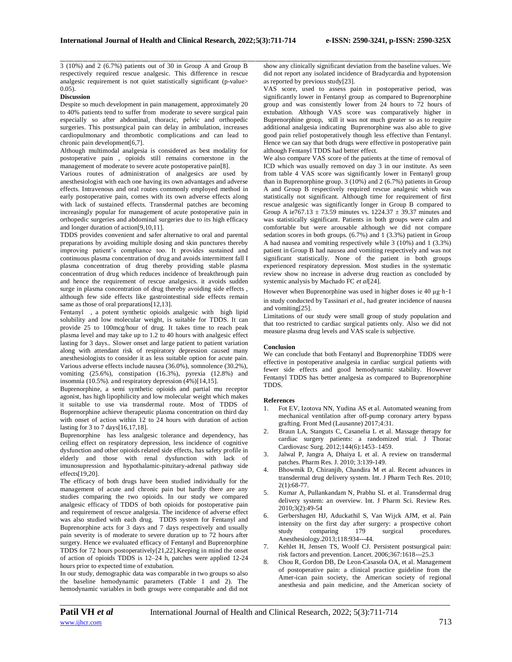3 (10%) and 2 (6.7%) patients out of 30 in Group A and Group B respectively required rescue analgesic. This difference in rescue analgesic requirement is not quiet statistically significant (p-value> 0.05).

# **Discussion**

Despite so much development in pain management, approximately 20 to 40% patients tend to suffer from moderate to severe surgical pain especially so after abdominal, thoracic, pelvic and orthopedic surgeries. This postsurgical pain can delay in ambulation, increases cardiopulmonary and thrombotic complications and can lead to chronic pain development[6,7].

Although multimodal analgesia is considered as best modality for postoperative pain , opioids still remains cornerstone in the management of moderate to severe acute postoperative pain[8].

Various routes of administration of analgesics are used by anesthesiologist with each one having its own advantages and adverse effects. Intravenous and oral routes commonly employed method in early postoperative pain, comes with its own adverse effects along with lack of sustained effects. Transdermal patches are becoming increasingly popular for management of acute postoperative pain in orthopedic surgeries and abdominal surgeries due to its high efficacy and longer duration of action[9,10,11].

TDDS provides convenient and safer alternative to oral and parental preparations by avoiding multiple dosing and skin punctures thereby improving patient's compliance too. It provides sustained and continuous plasma concentration of drug and avoids intermittent fall I plasma concentration of drug thereby providing stable plasma concentration of drug which reduces incidence of breakthrough pain and hence the requirement of rescue analgesics. it avoids sudden surge in plasma concentration of drug thereby avoiding side effects, although few side effects like gastrointestinal side effects remain same as those of oral preparations[12,13].

Fentanyl , a potent synthetic opioids analgesic with high lipid solubility and low molecular weight, is suitable for TDDS. It can provide 25 to 100mcg/hour of drug. It takes time to reach peak plasma level and may take up to 1.2 to 40 hours with analgesic effect lasting for 3 days.. Slower onset and large patient to patient variation along with attendant risk of respiratory depression caused many anesthesiologists to consider it as less suitable option for acute pain. Various adverse effects include nausea (36.0%), somnolence (30.2%), vomiting (25.6%), constipation (16.3%), pyrexia (12.8%) and insomnia (10.5%). and respiratory depression (4%)[14,15].

Buprenorphine, a semi synthetic opioids and partial mu receptor agonist, has high lipophilicity and low molecular weight which makes it suitable to use via transdermal route. Most of TDDS of Buprenorphine achieve therapeutic plasma concentration on third day with onset of action within 12 to 24 hours with duration of action lasting for 3 to 7 days[16,17,18].

Buprenorphine has less analgesic tolerance and dependency, has ceiling effect on respiratory depression, less incidence of cognitive dysfunction and other opioids related side effects, has safety profile in elderly and those with renal dysfunction with lack of imunosupression and hypothalamic-pituitary-adrenal pathway side effects[19,20].

The efficacy of both drugs have been studied individually for the management of acute and chronic pain but hardly there are any studies comparing the two opioids. In our study we compared analgesic efficacy of TDDS of both opioids for postoperative pain and requirement of rescue analgesia. The incidence of adverse effect was also studied with each drug. TDDS system for Fentanyl and Buprenorphine acts for 3 days and 7 days respectively and usually pain severity is of moderate to severe duration up to 72 hours after surgery. Hence we evaluated efficacy of Fentanyl and Buprenorphine TDDS for 72 hours postoperatively[21,22].Keeping in mind the onset of action of opioids TDDS is 12–24 h, patches were applied 12-24 hours prior to expected time of extubation.

In our study, demographic data was comparable in two groups so also the baseline hemodynamic parameters (Table 1 and 2). The hemodynamic variables in both groups were comparable and did not

\_\_\_\_\_\_\_\_\_\_\_\_\_\_\_\_\_\_\_\_\_\_\_\_\_\_\_\_\_\_\_\_\_\_\_\_\_\_\_\_\_\_\_\_\_\_\_\_\_\_\_\_\_\_\_\_\_\_\_\_\_\_\_\_\_\_\_\_\_\_\_\_\_\_\_\_\_\_\_\_\_\_\_\_\_\_\_\_\_\_\_\_\_\_\_\_\_\_\_\_\_\_\_\_\_\_\_\_\_\_\_\_\_\_\_\_\_\_\_\_\_\_\_\_\_\_\_\_\_\_\_\_\_\_\_\_\_\_\_\_ show any clinically significant deviation from the baseline values. We did not report any isolated incidence of Bradycardia and hypotension as reported by previous study[23].

> VAS score, used to assess pain in postoperative period, was significantly lower in Fentanyl group as compared to Buprenorphine group and was consistently lower from 24 hours to 72 hours of extubation. Although VAS score was comparatively higher in Buprenorphine group, still it was not much greater so as to require additional analgesia indicating Buprenorphine was also able to give good pain relief postoperatively though less effective than Fentanyl. Hence we can say that both drugs were effective in postoperative pain although Fentanyl TDDS had better effect.

> We also compare VAS score of the patients at the time of removal of ICD which was usually removed on day 3 in our institute. As seen from table 4 VAS score was significantly lower in Fentanyl group than in Buprenorphine group. 3 (10%) and 2 (6.7%) patients in Group A and Group B respectively required rescue analgesic which was statistically not significant. Although time for requirement of first rescue analgesic was significantly longer in Group B compared to Group A ie767.13  $\pm$  73.59 minutes vs. 1224.37  $\pm$  39.37 minutes and was statistically significant. Patients in both groups were calm and comfortable but were arousable although we did not compare sedation scores in both groups. (6.7%) and 1 (3.3%) patient in Group A had nausea and vomiting respectively while 3 (10%) and 1 (3.3%) patient in Group B had nausea and vomiting respectively and was not significant statistically. None of the patient in both groups experienced respiratory depression. Most studies in the systematic review show no increase in adverse drug reaction as concluded by systemic analysis by Machado FC *et al*[24].

However when Buprenorphine was used in higher doses ie 40 μg·h-1 in study conducted by Tassinari *et al*., had greater incidence of nausea and vomiting[25].

Limitations of our study were small group of study population and that too restricted to cardiac surgical patients only. Also we did not measure plasma drug levels and VAS scale is subjective.

# **Conclusion**

We can conclude that both Fentanyl and Buprenorphine TDDS were effective in postoperative analgesia in cardiac surgical patients with fewer side effects and good hemodynamic stability. However Fentanyl TDDS has better analgesia as compared to Buprenorphine TDDS.

## **References**

- 1. Fot EV, Izotova NN, Yudina AS et al. Automated weaning from mechanical ventilation after off-pump coronary artery bypass grafting. Front Med (Lausanne) 2017;4:31.
- 2. Braun LA, Stanguts C, Casanelia L et al. Massage therapy for cardiac surgery patients: a randomized trial. J Thorac Cardiovasc Surg. 2012;144(6):1453–1459.
- 3. Jalwal P, Jangra A, Dhaiya L et al. A review on transdermal patches. Pharm Res. J. 2010; 3:139-149.
- 4. Bhowmik D, Chiranjib, Chandira M et al. Recent advances in transdermal drug delivery system. Int. J Pharm Tech Res. 2010; 2(1):68-77.
- 5. Kumar A, Pullankandam N, Prabhu SL et al. Transdermal drug delivery system: an overview. Int. J Pharm Sci. Review Res. 2010;3(2):49-54
- 6. Gerbershagen HJ, Aduckathil S, Van Wijck AJM, et al. Pain intensity on the first day after surgery: a prospective cohort<br>study comparing 179 surgical procedures. comparing 179 surgical procedures. Anesthesiology.2013;118:934---44.
- 7. Kehlet H, Jensen TS, Woolf CJ. Persistent postsurgical pain: risk factors and prevention. Lancet. 2006;367:1618---25.3
- 8. Chou R, Gordon DB, De Leon-Casasola OA, et al. Management of postoperative pain: a clinical practice guideline from the Amer-ican pain society, the American society of regional anesthesia and pain medicine, and the American society of

*\_\_\_\_\_\_\_\_\_\_\_\_\_\_\_\_\_\_\_\_\_\_\_\_\_\_\_\_\_\_\_\_\_\_\_\_\_\_\_\_\_\_\_\_\_\_\_\_\_\_\_\_\_\_\_\_\_\_\_\_\_\_\_\_\_\_\_\_\_\_\_\_\_\_\_\_\_\_\_\_\_\_\_\_\_\_\_\_\_\_\_\_\_\_\_\_\_\_\_\_\_\_\_\_\_\_\_\_\_\_\_\_\_\_\_\_\_\_\_\_\_\_\_\_\_\_\_\_\_\_\_\_\_\_\_\_\_\_\_\_*